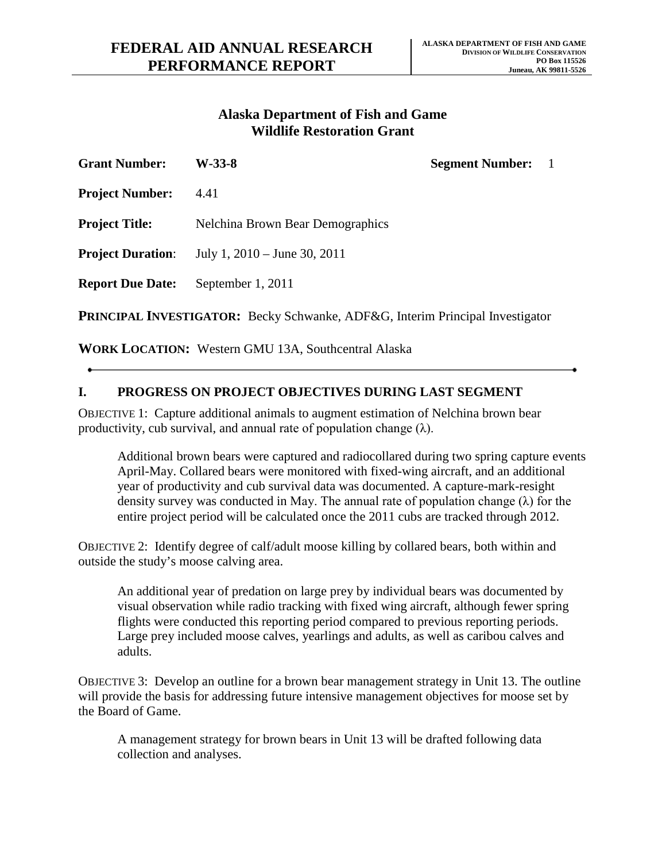# **Wildlife Restoration Grant Alaska Department of Fish and Game**

| <b>Grant Number:</b>                                                                 | W-33-8                           | <b>Segment Number:</b> 1 |  |
|--------------------------------------------------------------------------------------|----------------------------------|--------------------------|--|
| <b>Project Number:</b>                                                               | 4.41                             |                          |  |
| <b>Project Title:</b>                                                                | Nelchina Brown Bear Demographics |                          |  |
| <b>Project Duration:</b>                                                             | July 1, $2010 -$ June 30, $2011$ |                          |  |
| <b>Report Due Date:</b>                                                              | September 1, 2011                |                          |  |
| <b>PRINCIPAL INVESTIGATOR:</b> Becky Schwanke, ADF&G, Interim Principal Investigator |                                  |                          |  |

**WORK LOCATION:** Western GMU 13A, Southcentral Alaska

## **I. PROGRESS ON PROJECT OBJECTIVES DURING LAST SEGMENT**

OBJECTIVE 1: Capture additional animals to augment estimation of Nelchina brown bear productivity, cub survival, and annual rate of population change  $(\lambda)$ .

 Additional brown bears were captured and radiocollared during two spring capture events density survey was conducted in May. The annual rate of population change (λ) for the April-May. Collared bears were monitored with fixed-wing aircraft, and an additional year of productivity and cub survival data was documented. A capture-mark-resight entire project period will be calculated once the 2011 cubs are tracked through 2012.

 OBJECTIVE 2: Identify degree of calf/adult moose killing by collared bears, both within and outside the study's moose calving area.

 An additional year of predation on large prey by individual bears was documented by visual observation while radio tracking with fixed wing aircraft, although fewer spring flights were conducted this reporting period compared to previous reporting periods. Large prey included moose calves, yearlings and adults, as well as caribou calves and adults.

 OBJECTIVE 3: Develop an outline for a brown bear management strategy in Unit 13. The outline will provide the basis for addressing future intensive management objectives for moose set by the Board of Game.

A management strategy for brown bears in Unit 13 will be drafted following data collection and analyses.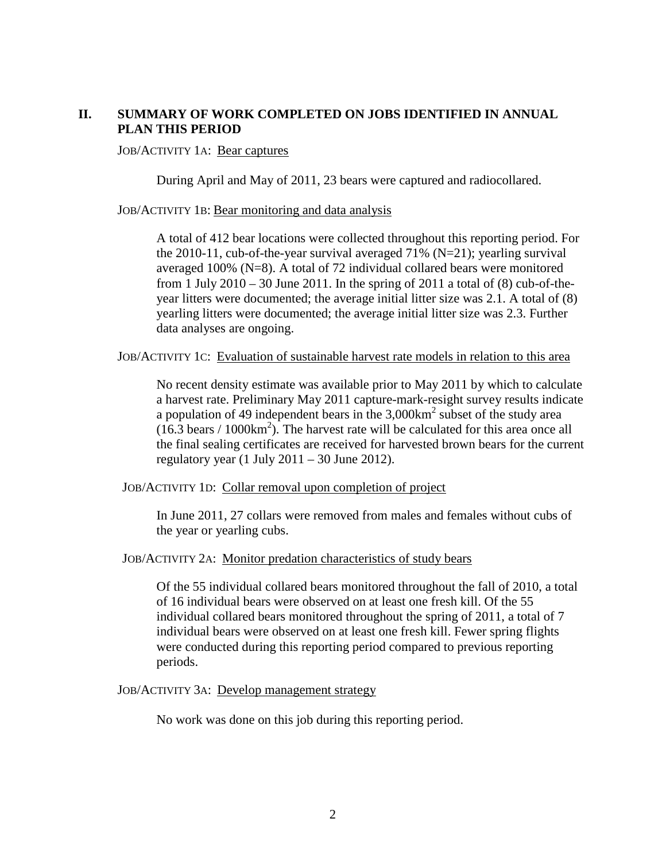### **II. SUMMARY OF WORK COMPLETED ON JOBS IDENTIFIED IN ANNUAL PLAN THIS PERIOD**

#### JOB/ACTIVITY 1A: Bear captures

During April and May of 2011, 23 bears were captured and radiocollared.

JOB/ACTIVITY 1B: Bear monitoring and data analysis

data analyses are ongoing. A total of 412 bear locations were collected throughout this reporting period. For the 2010-11, cub-of-the-year survival averaged 71%  $(N=21)$ ; yearling survival averaged 100% (N=8). A total of 72 individual collared bears were monitored from 1 July  $2010 - 30$  June 2011. In the spring of 2011 a total of (8) cub-of-theyear litters were documented; the average initial litter size was 2.1. A total of (8) yearling litters were documented; the average initial litter size was 2.3. Further

data analyses are ongoing.<br>JOB/ACTIVITY 1C: Evaluation of sustainable harvest rate models in relation to this area

No recent density estimate was available prior to May 2011 by which to calculate a harvest rate. Preliminary May 2011 capture-mark-resight survey results indicate a population of 49 independent bears in the  $3,000 \text{km}^2$  subset of the study area  $(16.3 \text{ bears} / 1000 \text{km}^2)$ . The harvest rate will be calculated for this area once all the final sealing certificates are received for harvested brown bears for the current regulatory year (1 July  $2011 - 30$  June 2012).

JOB/ACTIVITY 1D: Collar removal upon completion of project

 In June 2011, 27 collars were removed from males and females without cubs of the year or yearling cubs.

JOB/ACTIVITY 2A: Monitor predation characteristics of study bears

 of 16 individual bears were observed on at least one fresh kill. Of the 55 Of the 55 individual collared bears monitored throughout the fall of 2010, a total individual collared bears monitored throughout the spring of 2011, a total of 7 individual bears were observed on at least one fresh kill. Fewer spring flights were conducted during this reporting period compared to previous reporting periods.

JOB/ACTIVITY 3A: Develop management strategy

No work was done on this job during this reporting period.